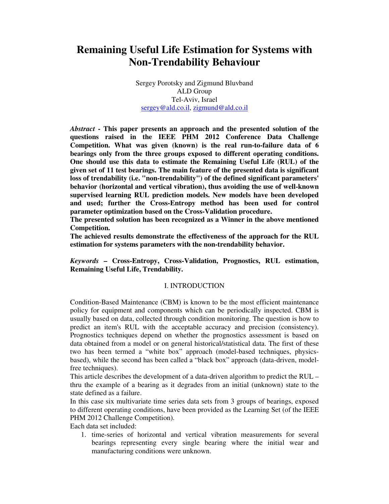# **Remaining Useful Life Estimation for Systems with Non-Trendability Behaviour**

Sergey Porotsky and Zigmund Bluvband ALD Group Tel-Aviv, Israel sergey@ald.co.il, zigmund@ald.co.il

*Abstract* **- This paper presents an approach and the presented solution of the questions raised in the IEEE PHM 2012 Conference Data Challenge Competition. What was given (known) is the real run-to-failure data of 6 bearings only from the three groups exposed to different operating conditions. One should use this data to estimate the Remaining Useful Life (RUL) of the given set of 11 test bearings. The main feature of the presented data is significant loss of trendability (i.e. "non-trendability") of the defined significant parameters' behavior (horizontal and vertical vibration), thus avoiding the use of well-known supervised learning RUL prediction models. New models have been developed and used; further the Cross-Entropy method has been used for control parameter optimization based on the Cross-Validation procedure.** 

**The presented solution has been recognized as a Winner in the above mentioned Competition.** 

**The achieved results demonstrate the effectiveness of the approach for the RUL estimation for systems parameters with the non-trendability behavior.** 

*Keywords* **– Cross-Entropy, Cross-Validation, Prognostics, RUL estimation, Remaining Useful Life, Trendability.** 

## I. INTRODUCTION

Condition-Based Maintenance (CBM) is known to be the most efficient maintenance policy for equipment and components which can be periodically inspected. CBM is usually based on data, collected through condition monitoring. The question is how to predict an item's RUL with the acceptable accuracy and precision (consistency). Prognostics techniques depend on whether the prognostics assessment is based on data obtained from a model or on general historical/statistical data. The first of these two has been termed a "white box" approach (model-based techniques, physicsbased), while the second has been called a "black box" approach (data-driven, modelfree techniques).

This article describes the development of a data-driven algorithm to predict the RUL – thru the example of a bearing as it degrades from an initial (unknown) state to the state defined as a failure.

In this case six multivariate time series data sets from 3 groups of bearings, exposed to different operating conditions, have been provided as the Learning Set (of the IEEE PHM 2012 Challenge Competition).

Each data set included:

1. time-series of horizontal and vertical vibration measurements for several bearings representing every single bearing where the initial wear and manufacturing conditions were unknown.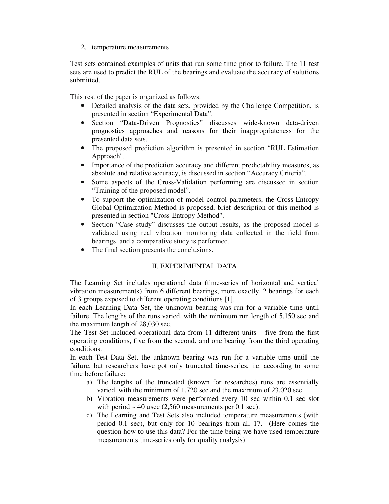2. temperature measurements

Test sets contained examples of units that run some time prior to failure. The 11 test sets are used to predict the RUL of the bearings and evaluate the accuracy of solutions submitted.

This rest of the paper is organized as follows:

- Detailed analysis of the data sets, provided by the Challenge Competition, is presented in section "Experimental Data".
- Section "Data-Driven Prognostics" discusses wide-known data-driven prognostics approaches and reasons for their inappropriateness for the presented data sets.
- The proposed prediction algorithm is presented in section "RUL Estimation" Approach".
- Importance of the prediction accuracy and different predictability measures, as absolute and relative accuracy, is discussed in section "Accuracy Criteria".
- Some aspects of the Cross-Validation performing are discussed in section "Training of the proposed model".
- To support the optimization of model control parameters, the Cross-Entropy Global Optimization Method is proposed, brief description of this method is presented in section "Cross-Entropy Method".
- Section "Case study" discusses the output results, as the proposed model is validated using real vibration monitoring data collected in the field from bearings, and a comparative study is performed.
- The final section presents the conclusions.

# II. EXPERIMENTAL DATA

The Learning Set includes operational data (time-series of horizontal and vertical vibration measurements) from 6 different bearings, more exactly, 2 bearings for each of 3 groups exposed to different operating conditions [1].

In each Learning Data Set, the unknown bearing was run for a variable time until failure. The lengths of the runs varied, with the minimum run length of 5,150 sec and the maximum length of 28,030 sec.

The Test Set included operational data from 11 different units – five from the first operating conditions, five from the second, and one bearing from the third operating conditions.

In each Test Data Set, the unknown bearing was run for a variable time until the failure, but researchers have got only truncated time-series, i.e. according to some time before failure:

- a) The lengths of the truncated (known for researches) runs are essentially varied, with the minimum of 1,720 sec and the maximum of 23,020 sec.
- b) Vibration measurements were performed every 10 sec within 0.1 sec slot with period  $\sim$  40 usec (2,560 measurements per 0.1 sec).
- c) The Learning and Test Sets also included temperature measurements (with period 0.1 sec), but only for 10 bearings from all 17. (Here comes the question how to use this data? For the time being we have used temperature measurements time-series only for quality analysis).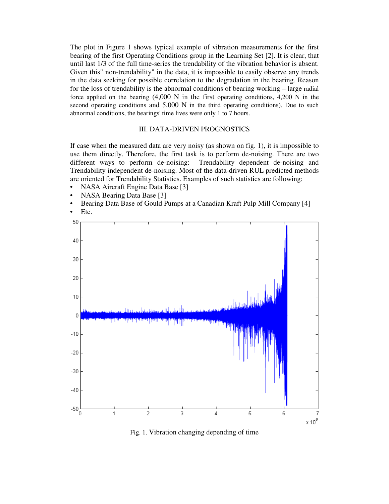The plot in Figure 1 shows typical example of vibration measurements for the first bearing of the first Operating Conditions group in the Learning Set [2]. It is clear, that until last 1/3 of the full time-series the trendability of the vibration behavior is absent. Given this" non-trendability" in the data, it is impossible to easily observe any trends in the data seeking for possible correlation to the degradation in the bearing. Reason for the loss of trendability is the abnormal conditions of bearing working – large radial force applied on the bearing  $(4,000 \text{ N}$  in the first operating conditions,  $4,200 \text{ N}$  in the second operating conditions and 5,000 N in the third operating conditions). Due to such abnormal conditions, the bearings' time lives were only 1 to 7 hours.

#### III. DATA-DRIVEN PROGNOSTICS

If case when the measured data are very noisy (as shown on fig. 1), it is impossible to use them directly. Therefore, the first task is to perform de-noising. There are two different ways to perform de-noising: Trendability dependent de-noising and Trendability independent de-noising. Most of the data-driven RUL predicted methods are oriented for Trendability Statistics. Examples of such statistics are following:

- NASA Aircraft Engine Data Base [3]
- NASA Bearing Data Base [3]
- Bearing Data Base of Gould Pumps at a Canadian Kraft Pulp Mill Company [4]
- Etc.



Fig. 1. Vibration changing depending of time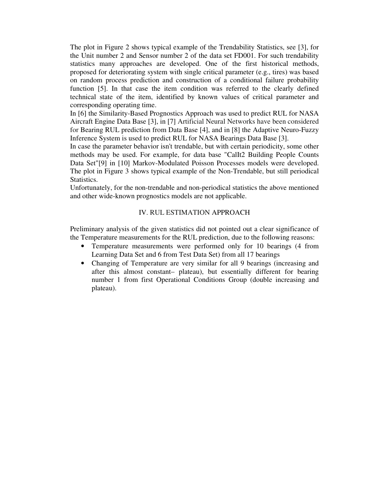The plot in Figure 2 shows typical example of the Trendability Statistics, see [3], for the Unit number 2 and Sensor number 2 of the data set FD001. For such trendability statistics many approaches are developed. One of the first historical methods, proposed for deteriorating system with single critical parameter (e.g., tires) was based on random process prediction and construction of a conditional failure probability function [5]. In that case the item condition was referred to the clearly defined technical state of the item, identified by known values of critical parameter and corresponding operating time.

In [6] the Similarity-Based Prognostics Approach was used to predict RUL for NASA Aircraft Engine Data Base [3], in [7] Artificial Neural Networks have been considered for Bearing RUL prediction from Data Base [4], and in [8] the Adaptive Neuro-Fuzzy Inference System is used to predict RUL for NASA Bearings Data Base [3].

In case the parameter behavior isn't trendable, but with certain periodicity, some other methods may be used. For example, for data base "CalIt2 Building People Counts Data Set"[9] in [10] Markov-Modulated Poisson Processes models were developed. The plot in Figure 3 shows typical example of the Non-Trendable, but still periodical Statistics.

Unfortunately, for the non-trendable and non-periodical statistics the above mentioned and other wide-known prognostics models are not applicable.

## IV. RUL ESTIMATION APPROACH

Preliminary analysis of the given statistics did not pointed out a clear significance of the Temperature measurements for the RUL prediction, due to the following reasons:

- Temperature measurements were performed only for 10 bearings (4 from Learning Data Set and 6 from Test Data Set) from all 17 bearings
- Changing of Temperature are very similar for all 9 bearings (increasing and after this almost constant– plateau), but essentially different for bearing number 1 from first Operational Conditions Group (double increasing and plateau).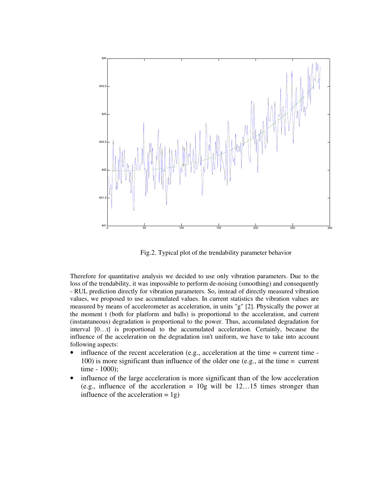

Fig.2. Typical plot of the trendability parameter behavior

Therefore for quantitative analysis we decided to use only vibration parameters. Due to the loss of the trendability, it was impossible to perform de-noising (smoothing) and consequently - RUL prediction directly for vibration parameters. So, instead of directly measured vibration values, we proposed to use accumulated values. In current statistics the vibration values are measured by means of accelerometer as acceleration, in units "g" [2]. Physically the power at the moment t (both for platform and balls) is proportional to the acceleration, and current (instantaneous) degradation is proportional to the power. Thus, accumulated degradation for interval [0…t] is proportional to the accumulated acceleration. Certainly, because the influence of the acceleration on the degradation isn't uniform, we have to take into account following aspects:

- influence of the recent acceleration (e.g., acceleration at the time  $=$  current time  $-$ 100) is more significant than influence of the older one (e.g., at the time = current time - 1000);
- influence of the large acceleration is more significant than of the low acceleration (e.g., influence of the acceleration  $= 10$ g will be 12...15 times stronger than influence of the acceleration  $= 1g$ )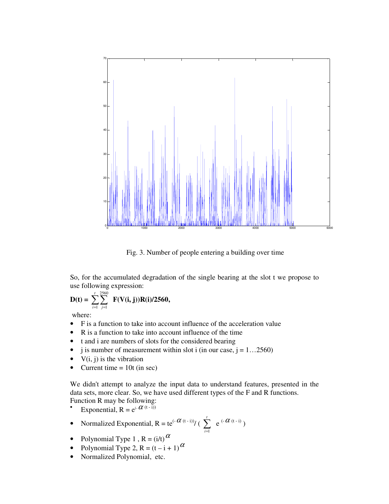

Fig. 3. Number of people entering a building over time

So, for the accumulated degradation of the single bearing at the slot t we propose to use following expression:

$$
D(t) = \sum_{i=1}^{t} \sum_{j=1}^{2560} F(V(i, j))R(i)/2560,
$$

where:

- F is a function to take into account influence of the acceleration value
- R is a function to take into account influence of the time
- t and i are numbers of slots for the considered bearing
- j is number of measurement within slot i (in our case,  $j = 1...2560$ )
- $V(i, j)$  is the vibration
- Current time  $= 10t$  (in sec)

We didn't attempt to analyze the input data to understand features, presented in the data sets, more clear. So, we have used different types of the F and R functions. Function R may be following:

- Exponential,  $R = e^{(-\alpha (t - i))}$
- Normalized Exponential,  $R = \frac{e^{(-\alpha(t-i))}}{t}$  ( $\sum_{i=1}^{n}$ *t*  $i=1$  $e^{(-\alpha_{(t-i)})}$
- Polynomial Type 1,  $R = (i/t)^{\alpha}$
- Polynomial Type 2,  $R = (t i + 1)$ <sup> $\alpha$ </sup>
- Normalized Polynomial, etc.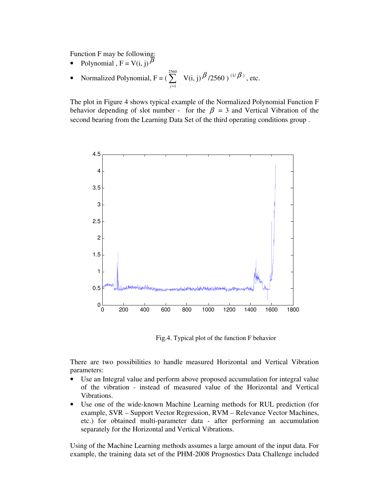Function F may be following:

- Polynomial ,  $F = V(i, j)$ <sup> $\beta$ </sup>
- Normalized Polynomial,  $F = \sum_{j=1}^{\infty}$ 2560 *j*=1  $V(i, j)$   $\beta$  /2560)<sup>(1/ $\beta$ )</sup>, etc.

The plot in Figure 4 shows typical example of the Normalized Polynomial Function F behavior depending of slot number - for the  $\beta = 3$  and Vertical Vibration of the second bearing from the Learning Data Set of the third operating conditions group .



Fig.4. Typical plot of the function F behavior

There are two possibilities to handle measured Horizontal and Vertical Vibration parameters:

- Use an Integral value and perform above proposed accumulation for integral value of the vibration - instead of measured value of the Horizontal and Vertical Vibrations.
- Use one of the wide-known Machine Learning methods for RUL prediction (for example, SVR – Support Vector Regression, RVM – Relevance Vector Machines, etc.) for obtained multi-parameter data - after performing an accumulation separately for the Horizontal and Vertical Vibrations.

Using of the Machine Learning methods assumes a large amount of the input data. For example, the training data set of the PHM-2008 Prognostics Data Challenge included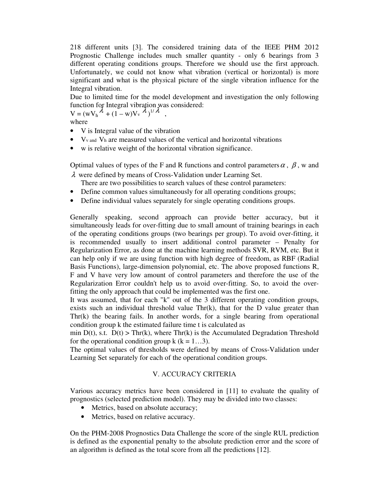218 different units [3]. The considered training data of the IEEE PHM 2012 Prognostic Challenge includes much smaller quantity - only 6 bearings from 3 different operating conditions groups. Therefore we should use the first approach. Unfortunately, we could not know what vibration (vertical or horizontal) is more significant and what is the phy*s*ical picture of the single vibration influence for the Integral vibration.

Due to limited time for the model development and investigation the only following function for Integral vibration was considered:

 $V = (wV_h^{\lambda} + (1 - w)V_v^{\lambda})^{1/\lambda},$ 

where

- V is Integral value of the vibration
- $\bullet$  V<sub>v</sub> and V<sub>h</sub> are measured values of the vertical and horizontal vibrations
- w is relative weight of the horizontal vibration significance.

Optimal values of types of the F and R functions and control parameters  $\alpha$ ,  $\beta$ , w and λ were defined by means of Cross-Validation under Learning Set.

There are two possibilities to search values of these control parameters:

- Define common values simultaneously for all operating conditions groups;
- Define individual values separately for single operating conditions groups.

Generally speaking, second approach can provide better accuracy, but it simultaneously leads for over-fitting due to small amount of training bearings in each of the operating conditions groups (two bearings per group). To avoid over-fitting, it is recommended usually to insert additional control parameter – Penalty for Regularization Error, as done at the machine learning methods SVR, RVM, etc. But it can help only if we are using function with high degree of freedom, as RBF (Radial Basis Functions), large-dimension polynomial, etc. The above proposed functions R, F and V have very low amount of control parameters and therefore the use of the Regularization Error couldn't help us to avoid over-fitting. So, to avoid the overfitting the only approach that could be implemented was the first one.

It was assumed, that for each "k" out of the 3 different operating condition groups, exists such an individual threshold value  $Thr(k)$ , that for the D value greater than Thr(k) the bearing fails. In another words, for a single bearing from operational condition group k the estimated failure time t is calculated as

min  $D(t)$ , s.t.  $D(t)$  > Thr(k), where Thr(k) is the Accumulated Degradation Threshold for the operational condition group  $k$  ( $k = 1...3$ ).

The optimal values of thresholds were defined by means of Cross-Validation under Learning Set separately for each of the operational condition groups.

## V. ACCURACY CRITERIA

Various accuracy metrics have been considered in [11] to evaluate the quality of prognostics (selected prediction model). They may be divided into two classes:

- Metrics, based on absolute accuracy;
- Metrics, based on relative accuracy.

On the PHM-2008 Prognostics Data Challenge the score of the single RUL prediction is defined as the exponential penalty to the absolute prediction error and the score of an algorithm is defined as the total score from all the predictions [12].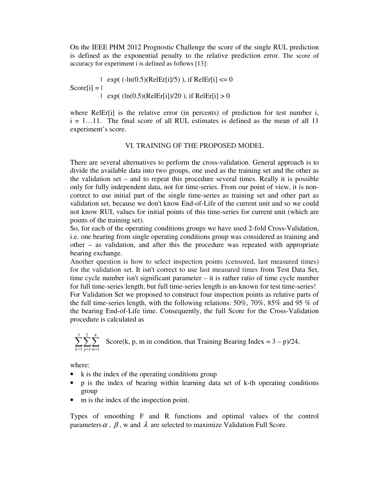On the IEEE PHM 2012 Prognostic Challenge the score of the single RUL prediction is defined as the exponential penalty to the relative prediction error. The score of accuracy for experiment i is defined as follows [13]:

| exp( $(-\ln(0.5)(\text{RelEr}[i]/5))$ , if RelEr[i] <= 0  $Score[i] = |$ | exp( $(ln(0.5)(RelEr[i])/20)$ , if RelEr[i] > 0

where RelEr $[i]$  is the relative error (in percents) of prediction for test number i,  $i = 1...11$ . The final score of all RUL estimates is defined as the mean of all 11 experiment's score.

## VI. TRAINING OF THE PROPOSED MODEL

There are several alternatives to perform the cross-validation. General approach is to divide the available data into two groups, one used as the training set and the other as the validation set – and to repeat this procedure several times. Really it is possible only for fully independent data, not for time-series. From our point of view, it is noncorrect to use initial part of the single time-series as training set and other part as validation set, because we don't know End-of-Life of the current unit and so we could not know RUL values for initial points of this time-series for current unit (which are points of the training set).

So, for each of the operating conditions groups we have used 2-fold Cross-Validation, i.e. one bearing from single operating conditions group was considered as training and other – as validation, and after this the procedure was repeated with appropriate bearing exchange.

Another question is how to select inspection points (censored, last measured times) for the validation set. It isn't correct to use last measured times from Test Data Set, time cycle number isn't significant parameter – it is rather ratio of time cycle number for full time-series length, but full time-series length is un-known for test time-series! For Validation Set we proposed to construct four inspection points as relative parts of the full time-series length, with the following relations: 50%, 70%, 85% and 95 % of the bearing End-of-Life time. Consequently, the full Score for the Cross-Validation procedure is calculated as

$$
\sum_{k=1}^{3} \sum_{p=1}^{2} \sum_{m=1}^{4}
$$
 Score(k, p, m in condition, that Training Bearing Index = 3 - p)/24,

where:

- k is the index of the operating conditions group
- p is the index of bearing within learning data set of k-th operating conditions group
- m is the index of the inspection point.

Types of smoothing F and R functions and optimal values of the control parameters  $\alpha$ ,  $\beta$ , w and  $\lambda$  are selected to maximize Validation Full Score.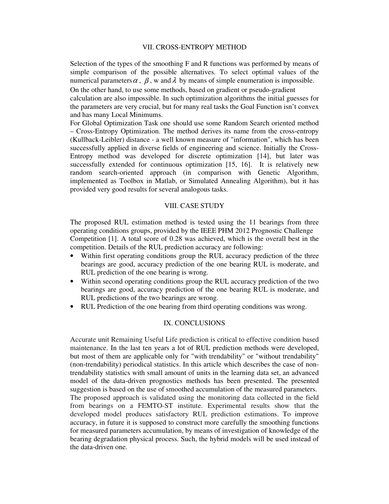## VII. CROSS-ENTROPY METHOD

Selection of the types of the smoothing F and R functions was performed by means of simple comparison of the possible alternatives. To select optimal values of the numerical parameters  $\alpha$ ,  $\beta$ , w and  $\lambda$  by means of simple enumeration is impossible. On the other hand, to use some methods, based on gradient or pseudo-gradient calculation are also impossible. In such optimization algorithms the initial guesses for the parameters are very crucial, but for many real tasks the Goal Function isn't convex and has many Local Minimums.

For Global Optimization Task one should use some Random Search oriented method – Cross-Entropy Optimization. The method derives its name from the cross-entropy (Kullback-Leibler) distance - a well known measure of "information", which has been successfully applied in diverse fields of engineering and science. Initially the Cross-Entropy method was developed for discrete optimization [14], but later was successfully extended for continuous optimization [15, 16]. It is relatively new random search-oriented approach (in comparison with Genetic Algorithm, implemented as Toolbox in Matlab, or Simulated Annealing Algorithm), but it has provided very good results for several analogous tasks.

#### VIII. CASE STUDY

The proposed RUL estimation method is tested using the 11 bearings from three operating conditions groups, provided by the IEEE PHM 2012 Prognostic Challenge Competition [1]. A total score of 0.28 was achieved, which is the overall best in the competition. Details of the RUL prediction accuracy are following:

- Within first operating conditions group the RUL accuracy prediction of the three bearings are good, accuracy prediction of the one bearing RUL is moderate, and RUL prediction of the one bearing is wrong.
- Within second operating conditions group the RUL accuracy prediction of the two bearings are good, accuracy prediction of the one bearing RUL is moderate, and RUL predictions of the two bearings are wrong.
- RUL Prediction of the one bearing from third operating conditions was wrong.

## IX. CONCLUSIONS

Accurate unit Remaining Useful Life prediction is critical to effective condition based maintenance. In the last ten years a lot of RUL prediction methods were developed, but most of them are applicable only for "with trendability" or "without trendability" (non-trendability) periodical statistics. In this article which describes the case of nontrendability statistics with small amount of units in the learning data set, an advanced model of the data-driven prognostics methods has been presented. The presented suggestion is based on the use of smoothed accumulation of the measured parameters. The proposed approach is validated using the monitoring data collected in the field from bearings on a FEMTO-ST institute. Experimental results show that the developed model produces satisfactory RUL prediction estimations. To improve accuracy, in future it is supposed to construct more carefully the smoothing functions for measured parameters accumulation, by means of investigation of knowledge of the bearing degradation physical process. Such, the hybrid models will be used instead of the data-driven one.